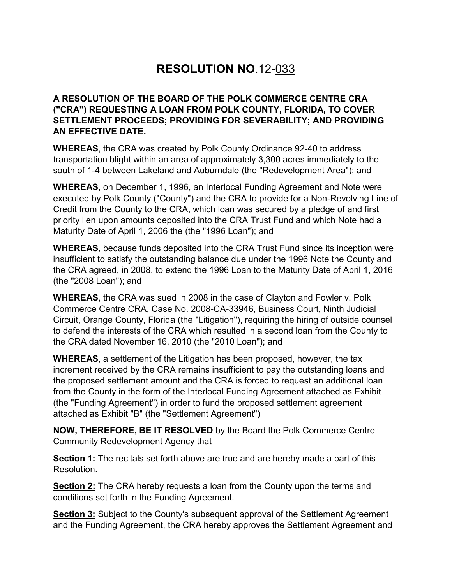## **RESOLUTION NO**.12-033

## **A RESOLUTION OF THE BOARD OF THE POLK COMMERCE CENTRE CRA ("CRA") REQUESTING A LOAN FROM POLK COUNTY, FLORIDA, TO COVER SETTLEMENT PROCEEDS; PROVIDING FOR SEVERABILITY; AND PROVIDING AN EFFECTIVE DATE.**

**WHEREAS**, the CRA was created by Polk County Ordinance 92-40 to address transportation blight within an area of approximately 3,300 acres immediately to the south of 1-4 between Lakeland and Auburndale (the "Redevelopment Area"); and

**WHEREAS**, on December 1, 1996, an Interlocal Funding Agreement and Note were executed by Polk County ("County") and the CRA to provide for a Non-Revolving Line of Credit from the County to the CRA, which loan was secured by a pledge of and first priority lien upon amounts deposited into the CRA Trust Fund and which Note had a Maturity Date of April 1, 2006 the (the "1996 Loan"); and

**WHEREAS**, because funds deposited into the CRA Trust Fund since its inception were insufficient to satisfy the outstanding balance due under the 1996 Note the County and the CRA agreed, in 2008, to extend the 1996 Loan to the Maturity Date of April 1, 2016 (the "2008 Loan"); and

**WHEREAS**, the CRA was sued in 2008 in the case of Clayton and Fowler v. Polk Commerce Centre CRA, Case No. 2008-CA-33946, Business Court, Ninth Judicial Circuit, Orange County, Florida (the "Litigation"), requiring the hiring of outside counsel to defend the interests of the CRA which resulted in a second loan from the County to the CRA dated November 16, 2010 (the "2010 Loan"); and

**WHEREAS**, a settlement of the Litigation has been proposed, however, the tax increment received by the CRA remains insufficient to pay the outstanding loans and the proposed settlement amount and the CRA is forced to request an additional loan from the County in the form of the Interlocal Funding Agreement attached as Exhibit (the "Funding Agreement") in order to fund the proposed settlement agreement attached as Exhibit "B" (the "Settlement Agreement")

**NOW, THEREFORE, BE IT RESOLVED** by the Board the Polk Commerce Centre Community Redevelopment Agency that

**Section 1:** The recitals set forth above are true and are hereby made a part of this Resolution.

**Section 2:** The CRA hereby requests a loan from the County upon the terms and conditions set forth in the Funding Agreement.

**Section 3:** Subject to the County's subsequent approval of the Settlement Agreement and the Funding Agreement, the CRA hereby approves the Settlement Agreement and